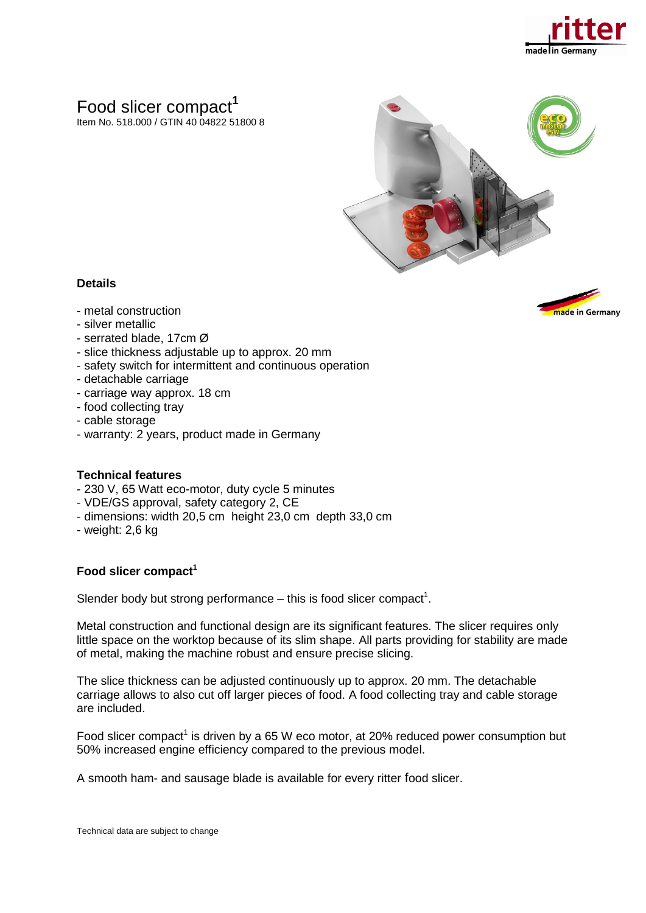

# Food slicer compact**<sup>1</sup>**

Item No. 518.000 / GTIN 40 04822 51800 8



### **Details**

- metal construction
- silver metallic
- serrated blade, 17cm Ø
- slice thickness adjustable up to approx. 20 mm
- safety switch for intermittent and continuous operation
- detachable carriage
- carriage way approx. 18 cm
- food collecting tray
- cable storage
- warranty: 2 years, product made in Germany

#### **Technical features**

- 230 V, 65 Watt eco-motor, duty cycle 5 minutes
- VDE/GS approval, safety category 2, CE
- dimensions: width 20,5 cm height 23,0 cm depth 33,0 cm
- weight: 2,6 kg

#### **Food slicer compact<sup>1</sup>**

Slender body but strong performance  $-$  this is food slicer compact<sup>1</sup>.

Metal construction and functional design are its significant features. The slicer requires only little space on the worktop because of its slim shape. All parts providing for stability are made of metal, making the machine robust and ensure precise slicing.

The slice thickness can be adjusted continuously up to approx. 20 mm. The detachable carriage allows to also cut off larger pieces of food. A food collecting tray and cable storage are included.

Food slicer compact<sup>1</sup> is driven by a 65 W eco motor, at 20% reduced power consumption but 50% increased engine efficiency compared to the previous model.

A smooth ham- and sausage blade is available for every ritter food slicer.